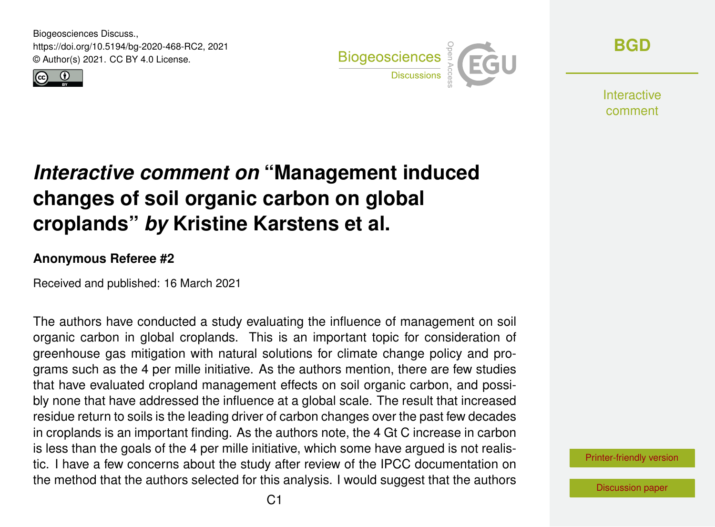Biogeosciences Discuss., https://doi.org/10.5194/bg-2020-468-RC2, 2021 © Author(s) 2021. CC BY 4.0 License.





**[BGD](https://bg.copernicus.org/preprints/)**

**Interactive** comment

## *Interactive comment on* **"Management induced changes of soil organic carbon on global croplands"** *by* **Kristine Karstens et al.**

## **Anonymous Referee #2**

Received and published: 16 March 2021

The authors have conducted a study evaluating the influence of management on soil organic carbon in global croplands. This is an important topic for consideration of greenhouse gas mitigation with natural solutions for climate change policy and programs such as the 4 per mille initiative. As the authors mention, there are few studies that have evaluated cropland management effects on soil organic carbon, and possibly none that have addressed the influence at a global scale. The result that increased residue return to soils is the leading driver of carbon changes over the past few decades in croplands is an important finding. As the authors note, the 4 Gt C increase in carbon is less than the goals of the 4 per mille initiative, which some have argued is not realistic. I have a few concerns about the study after review of the IPCC documentation on the method that the authors selected for this analysis. I would suggest that the authors

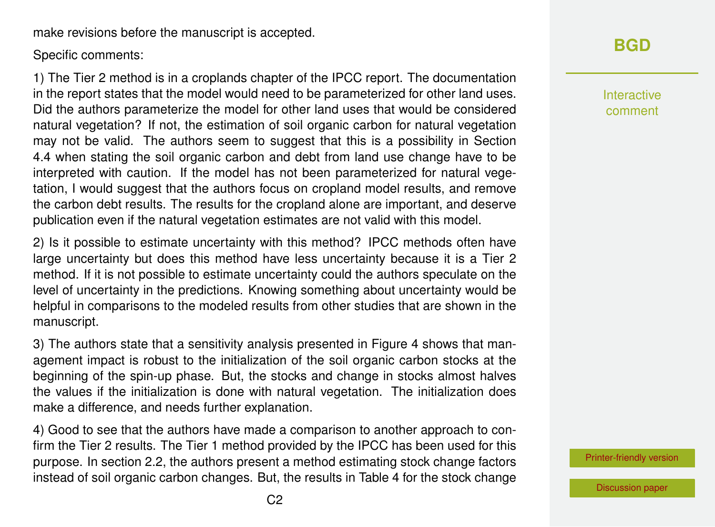make revisions before the manuscript is accepted.

Specific comments:

1) The Tier 2 method is in a croplands chapter of the IPCC report. The documentation in the report states that the model would need to be parameterized for other land uses. Did the authors parameterize the model for other land uses that would be considered natural vegetation? If not, the estimation of soil organic carbon for natural vegetation may not be valid. The authors seem to suggest that this is a possibility in Section 4.4 when stating the soil organic carbon and debt from land use change have to be interpreted with caution. If the model has not been parameterized for natural vegetation, I would suggest that the authors focus on cropland model results, and remove the carbon debt results. The results for the cropland alone are important, and deserve publication even if the natural vegetation estimates are not valid with this model.

2) Is it possible to estimate uncertainty with this method? IPCC methods often have large uncertainty but does this method have less uncertainty because it is a Tier 2 method. If it is not possible to estimate uncertainty could the authors speculate on the level of uncertainty in the predictions. Knowing something about uncertainty would be helpful in comparisons to the modeled results from other studies that are shown in the manuscript.

3) The authors state that a sensitivity analysis presented in Figure 4 shows that management impact is robust to the initialization of the soil organic carbon stocks at the beginning of the spin-up phase. But, the stocks and change in stocks almost halves the values if the initialization is done with natural vegetation. The initialization does make a difference, and needs further explanation.

4) Good to see that the authors have made a comparison to another approach to confirm the Tier 2 results. The Tier 1 method provided by the IPCC has been used for this purpose. In section 2.2, the authors present a method estimating stock change factors instead of soil organic carbon changes. But, the results in Table 4 for the stock change

## **[BGD](https://bg.copernicus.org/preprints/)**

Interactive comment

[Printer-friendly version](https://bg.copernicus.org/preprints/bg-2020-468/bg-2020-468-RC2-print.pdf)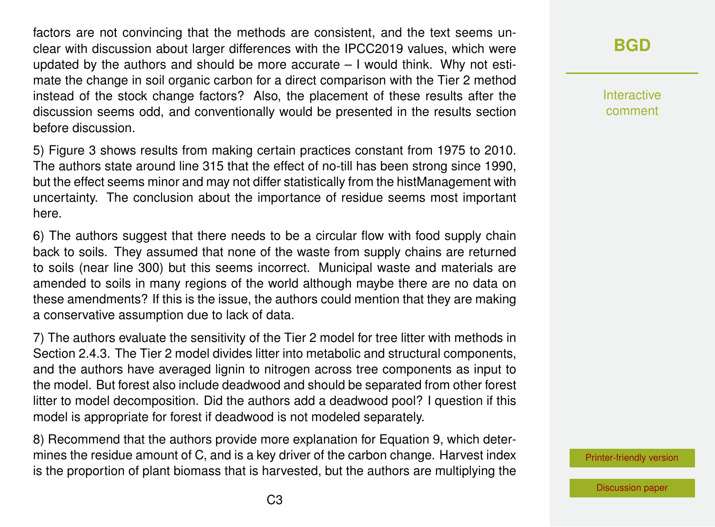factors are not convincing that the methods are consistent, and the text seems unclear with discussion about larger differences with the IPCC2019 values, which were updated by the authors and should be more accurate – I would think. Why not estimate the change in soil organic carbon for a direct comparison with the Tier 2 method instead of the stock change factors? Also, the placement of these results after the discussion seems odd, and conventionally would be presented in the results section before discussion.

5) Figure 3 shows results from making certain practices constant from 1975 to 2010. The authors state around line 315 that the effect of no-till has been strong since 1990, but the effect seems minor and may not differ statistically from the histManagement with uncertainty. The conclusion about the importance of residue seems most important here.

6) The authors suggest that there needs to be a circular flow with food supply chain back to soils. They assumed that none of the waste from supply chains are returned to soils (near line 300) but this seems incorrect. Municipal waste and materials are amended to soils in many regions of the world although maybe there are no data on these amendments? If this is the issue, the authors could mention that they are making a conservative assumption due to lack of data.

7) The authors evaluate the sensitivity of the Tier 2 model for tree litter with methods in Section 2.4.3. The Tier 2 model divides litter into metabolic and structural components, and the authors have averaged lignin to nitrogen across tree components as input to the model. But forest also include deadwood and should be separated from other forest litter to model decomposition. Did the authors add a deadwood pool? I question if this model is appropriate for forest if deadwood is not modeled separately.

8) Recommend that the authors provide more explanation for Equation 9, which determines the residue amount of C, and is a key driver of the carbon change. Harvest index is the proportion of plant biomass that is harvested, but the authors are multiplying the **[BGD](https://bg.copernicus.org/preprints/)**

Interactive comment

[Printer-friendly version](https://bg.copernicus.org/preprints/bg-2020-468/bg-2020-468-RC2-print.pdf)